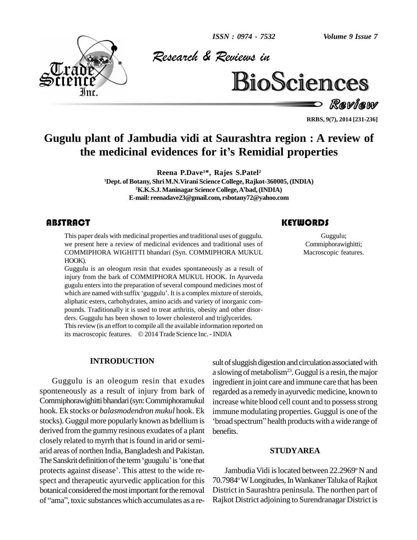*ISSN : 0974 - 7532*

*Volume 9 Issue 7*



*& Reviews in*



Review

**RRBS, 9(7), 2014 [231-236]**

# **Gugulu plant of Jambudia vidi at Saurashtra region : A review of** ress, 9(7), 2014 [231-234]<br>**the medicinal evidences for it's Remidial properties**

**Reena P.Dave <sup>1</sup>\*, Rajes S.Patel<sup>2</sup> <sup>1</sup>Dept. ofBotany, Shri M.N.Virani Science College, Rajkot-360005, (INDIA) 2** Reena P.Dave<sup>1\*</sup>, Rajes S.Patel<sup>2</sup><br>22 Juany, Shri M.N.Virani Science College, Rajkot-360005, (IN<br>22 K.K.S.J. Maninagar Science College, A'bad, (INDIA) **E-mail: [reenadave23@gmail.com,](mailto:reenadave23@gmail.com,) [rsbotany72@yahoo.com](mailto:rsbotany72@yahoo.com)**

# **ABSTRACT**

This paper deals with medicinal properties and traditional uses of guggulu. Commiphoravighit<br>we present here a review of medicinal evidences and traditional uses of Commiphoravighit<br>COMMIPHORA WIGHITTI bhandari (Syn. COMMI This paper deals with medicinal properties and traditional uses of guggulu. we present here a review of medicinal evidences and traditional uses of COMMIPHORA WIGHITTI bhandari (Syn. COMMIPHORA MUKUL HOOK).

Guggulu is an oleogum resin that exudes spontaneously as a result of injury from the bark of COMMIPHORA MUKUL HOOK. In Ayurveda gugulu enters into the preparation of several compound medicines most of injury from the bark of COMMIPHORA MUKUL HOOK. In Ayurveda<br>gugulu enters into the preparation of several compound medicines most of<br>which are named with suffix 'guggulu'. It is a complex mixture of steroids, aliphatic esters, carbohydrates, amino acids and variety of inorganic com pounds. Traditionally it is used to treat arthritis, obesity and other disor ders. Guggulu has been shown to lower cholesterol and triglycerides. This review (is an effort to compile all the available information reported on ders. Guggulu has been shown to lower cholesterol and triglycerides.<br>This review (is an effort to compile all the available information reported on<br>its macroscopic features. © 2014 Trade Science Inc. - INDIA

#### **INTRODUCTION**

Guggulu is an oleogum resin that exudes sponteneously as a result of injury from bark of Commiphorawighittibhandari(syn:Commiphoramukul hook. Ek stocks or *balasmodendron mukul* hook. Ek derived from the gummy resinous exudates of a plant closely related to myrrh that is found in arid or semiarid areas of northen India, Bangladesh and Pakistan. closely related to myrrh that is found in arid or semi-<br>arid areas of northen India, Bangladesh and Pakistan.<br>The Sanskrit definition of the term 'guugulu' is 'one that arid areas of northen India, Bangladesh and Pakistan.<br>The Sanskrit definition of the term 'guugulu' is 'one that<br>protects against disease'. This attest to the wide respect and therapeutic ayurvedic application for this 70.79<br>botanical considered the most important for the removal Distr<br>of "ama", toxic substances which accumulates as a rebotanical considered the most important for the removal

stocks). Guggul more popularly known as bdellium is broad spectrum" health products with a wide range of sult of sluggish digestion and circulation associated with a slowing of metabolism<sup>23</sup>. Guggul is a resin, the major ingredient in joint care and immune care that has been regarded as a remedy in ayurvedic medicine, known to increase white blood cell count and to possess strong<br>immune modulating properties. Guggul is one of the<br>'broad spectrum'' health products with a wide range of immune modulating properties. Guggul is one of the benefits.

#### **STUDYAREA**

Jambudia Vidi is located between 22.2969°N and 70.7984° W Longitudes, In Wankaner Taluka of Rajkot District in Saurashtra peninsula. The northen part of Rajkot District adjoining to Surendranagar District is

## **KEYWORDS**

Guggulu; Commiphorawighitti; Macroscopic features.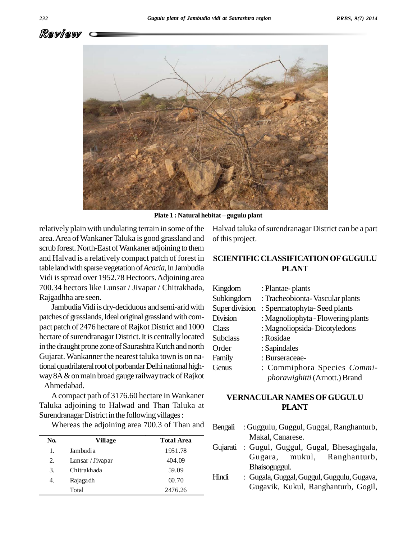



**Plate <sup>1</sup> : Natural hebitat <sup>ñ</sup> gugulu plant**

relatively plain with undulating terrain in some of the area.Area ofWankanerTaluka is good grassland and scrub forest. North-East of Wankaner adjoining to them and Halvad is a relatively compact patch of forest in table land with sparse vegetation of *Acacia*, In Jambudia Vidi isspread over 1952.78 Hectoors.Adjoining area 700.34 hectors like Lunsar / Jivapar / Chitrakhada, Rajgadhha are seen.

Jambudia Vidi is dry-deciduous and semi-arid with patches of grasslands, Ideal original grassland with compact patch of 2476 hectare of Rajkot District and 1000 hectare of surendranagar District. It is centrally located in the draught prone zone of Saurashtra Kutch and north Gujarat. Wankanner the nearest taluka town is on national quadrilateral root of porbandar Delhi national highway 8A & on main broad gauge railway track of Rajkot Ahmedabad.

Acompact path of 3176.60 hectare in Wankaner Taluka adjoining to Halwad and Than Taluka at Surendranagar District in the following villages:

Whereas the adjoining area 700.3 of Than and Bengali

| No. | Village          | <b>Total Area</b> |  |
|-----|------------------|-------------------|--|
|     | Jambudia         | 1951.78           |  |
| 2.  | Lunsar / Jivapar | 404.09            |  |
| 3.  | Chitrakhada      | 59.09             |  |
| 4.  | Rajagadh         | 60.70             |  |
|     | Total            | 2476.26           |  |

Halvad taluka of surendranagar District can be a part of this project.

# **SCIENTIFIC CLASSIFICATIONOFGUGULU PLANT**

| Kingdom         | : Plantae-plants                   |
|-----------------|------------------------------------|
| Subkingdom      | : Tracheobionta-Vascular plants    |
| Super division  | : Spermatophyta-Seed plants        |
| <b>Division</b> | : Magnoliophyta - Flowering plants |
| Class           | : Magnoliopsida-Dicotyledons       |
| <b>Subclass</b> | : Rosidae                          |
| Order           | : Sapindales                       |
| Family          | : Burseraceae-                     |
| Genus           | : Commiphora Species Commi-        |
|                 | phorawighitti (Arnott.) Brand      |

## **VERNACULAR NAMES OFGUGULU PLANT**

- : Guggulu, Guggul, Guggal, Ranghanturb, Makal, Canarese.
- Gujarati : Gugul, Guggul, Gugal, Bhesaghgala, Gugara, mukul, Ranghanturb, Bhaisoguggul.
- Hindi : Gugala,Guggal,Guggul,Guggulu,Gugava, Gugavik, Kukul, Ranghanturb, Gogil,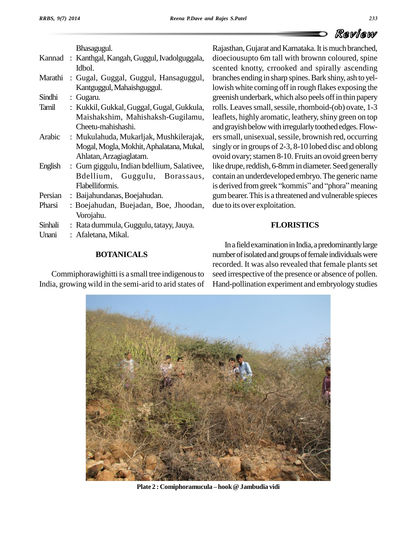

Bhasagugul.

|         | Kannad: Kanthgal, Kangah, Guggul, Ivadolguggala, | di             |
|---------|--------------------------------------------------|----------------|
|         | Idbol.                                           | SC             |
| Marathi | : Gugal, Guggal, Guggul, Hansaguggul,            | br             |
|         | Kantguggul, Mahaishguggul.                       | lo             |
| Sindhi  | : Gugaru.                                        | gr             |
| Tamil   | : Kukkil, Gukkal, Guggal, Gugal, Gukkula,        | ro             |
|         | Maishakshim, Mahishaksh-Gugilamu,                | le.            |
|         | Cheetu-mahishashi.                               | an             |
| Arabic  | : Mukulahuda, Mukarljak, Mushkilerajak,          | er             |
|         | Mogal, Mogla, Mokhit, Aphalatana, Mukal,         | sii            |
|         | Ahlatan, Arzagiaglatam.                          | $\overline{O}$ |
| English | : Gum giggulu, Indian bdellium, Salativee,       | lik            |
|         | Bdellium, Guggulu,<br>Borassaus,                 | cc             |
|         | Flabelliformis.                                  | is             |
| Persian | : Baijahundanas, Boejahudan.                     | gu             |
| Pharsi  | : Boejahudan, Buejadan, Boe, Jhoodan,            | dı             |
|         | Vorojahu.                                        |                |
| Sinhali | : Rata dummula, Guggulu, tatayy, Jauya.          |                |
| Unani   | : Afaletana, Mikal.                              |                |
|         |                                                  |                |

#### **BOTANICALS**

Commiphorawighitti is a small tree indigenous to India, growing wild in the semi-arid to arid states of

Rajasthan, Gujarat and Karnataka. It is much branched, dioeciousupto 6m tall with brownn coloured, spine scented knotty, crrooked and spirally ascending branches ending in sharp spines.Bark shiny, ash to yellowish white coming off in rough flakes exposing the greenish underbark, which also peels off in thin papery rolls. Leaves small, sessile, rhomboid-(ob) ovate, 1-3 leaflets, highly aromatic, leathery, shiny green on top and grayish below with irregularly toothed edges. Flowers small, unisexual, sessile, brownish red, occurring singly or in groups of 2-3, 8-10 lobed disc and oblong ovoid ovary; stamen 8-10. Fruits an ovoid green berry like drupe, reddish, 6-8mm in diameter. Seed generally contain an underdeveloped embryo.The generic name like drupe, reddish, 6-8mm in diameter. Seed generally<br>contain an underdeveloped embryo. The generic name<br>is derived from greek ''kommis'' and ''phora'' meaning gumbearer.Thisis a threatened and vulnerable spieces due to its over exploitation.

## **FLORISTICS**

In a field examination in India, a predominantly large number of isolated and groups of female individuals were recorded. It was also revealed that female plants set seed irrespective of the presence or absence of pollen. Hand-pollination experiment and embryology studies



**Plate <sup>2</sup> : Comiphoramucula <sup>ñ</sup> hook@Jambudia vidi**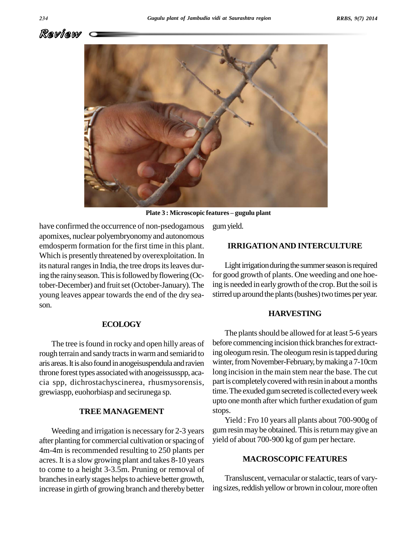



**Plate <sup>3</sup> : Microscopic features <sup>ñ</sup> gugulu plant**

have confirmed the occurrence of non-psedogamous apomixes, nuclear polyembryonomyand autonomous emdosperm formation for the first time in this plant. Which is presently threatened by overexploitation. In its natural ranges in India, the tree drops its leaves during the rainy season. This is followed by flowering (October-December) and fruit set (October-January). The young leaves appear towards the end of the dry sea son.

#### **ECOLOGY**

The tree is found in rocky and open hilly areas of rough terrain and sandy tracts in warm and semiarid to aris areas.Itis alsofoundinanogeisuspendula andravien throne forest types associated with anogeissusspp, acacia spp, dichrostachyscinerea, rhusmysorensis, grewiaspp, euohorbiasp and secirunega sp.

#### **TREE MANAGEMENT**

Weeding and irrigation is necessary for 2-3 years after planting for commercial cultivation or spacing of 4m-4m is recommended resulting to 250 plants per acres. It is a slow growing plant and takes 8-10 years to come to a height 3-3.5m. Pruning or removal of branches in early stages helps to achieve better growth, increase in girth of growing branch and thereby better gumyield.

#### **IRRIGATIONAND INTERCULTURE**

Light irrigation during the summer season is required for good growth of plants. One weeding and one hoeing is needed in early growth of the crop. But the soil is stirred up around the plants (bushes) two times per year.

#### **HARVESTING**

The plants should be allowed for at least 5-6 years before commencing incision thick branches for extracting oleogumresin.The oleogumresin istapped during winter, from November-February, by making a 7-10cm long incision in the main stem near the base. The cut part is completely covered with resin in about a months time. The exuded gum secreted is collected every week upto one month after which further exudation of gum stops.

Yield : Fro 10 years all plants about 700-900g of gum resin may be obtained. This is return may give an yield of about 700-900 kg of gum per hectare.

## **MACROSCOPIC FEATURES**

Transluscent, vernacular orstalactic, tears of varying sizes, reddish yellow or brown in colour, more often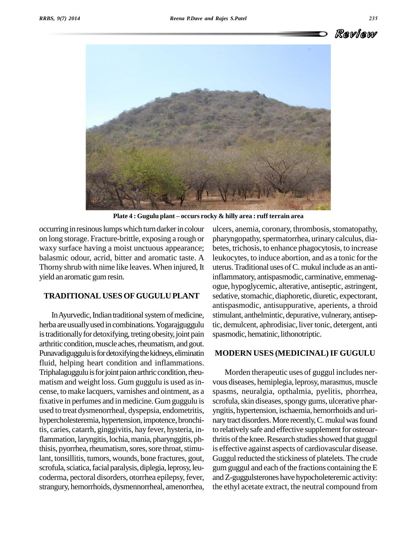

**Plate <sup>4</sup> : Gugulu plant <sup>ñ</sup> occurs rocky & hilly area : ruff terrain area**

occurring in resinous lumps which turn darker in colour on long storage. Fracture-brittle, exposing a rough or waxy surface having a moist unctuous appearance; balasmic odour, acrid, bitter and aromatic taste. A Thorny shrub with nime like leaves. When injured, It yield an aromatic gumresin.

#### **TRADITIONAL USESOFGUGULU PLANT**

In Ayurvedic, Indian traditional system of medicine, herba areusuallyused in combinations.Yogarajguggulu is traditionally for detoxifying, treting obesity, joint pain arthritic condition, muscle aches, rheumatism, and gout. Punavadiguggulu is for detoxifying the kidneys, eliminatin fluid, helping heart condition and inflammations. Triphalaguggulu is for joint paion arthric condition, rheumatism and weight loss. Gum guggulu is used as incense, to make lacquers, varnishes and ointment, as a fixative in perfumes and in medicine. Gum guggulu is used to treat dysmenorrheal, dyspepsia, endometritis, hypercholesteremia, hypertension, impotence, bronchitis, caries, catarrh, ginggivitis, hay fever, hysteria, inflammation, laryngitis, lochia, mania, pharynggitis, phthisis, pyorrhea, rheumatism, sores, sore throat, stimulant, tonsillitis, tumors, wounds, bone fractures, gout, scrofula, sciatica, facial paralysis, diplegia, leprosy, leucoderma, pectoral disorders, otorrhea epilepsy, fever, strangury, hemorrhoids, dysmennorrheal, amenorrhea,

ulcers, anemia, coronary, thrombosis, stomatopathy, pharyngopathy, spermatorrhea, urinary calculus, diabetes, trichosis, to enhance phagocytosis, to increase leukocytes, to induce abortion, and as a tonic for the uterus.Traditional uses ofC.mukul include as an antiinflammatory, antispasmodic, carminative, emmenag ogue, hypoglycemic, alterative, antiseptic, astringent, sedative, stomachic, diaphoretic, diuretic, expectorant, antispasmodic, antisuppurative, aperients, a throid stimulant, anthelmintic, depurative, vulnerary, antiseptic, demulcent, aphrodisiac, liver tonic, detergent, anti spasmodic, hematinic, lithonotriptic.

#### **MODERN USES (MEDICINAL)IF GUGULU**

Morden therapeutic uses of guggul includes ner vous diseases, hemiplegia, leprosy, marasmus, muscle spasms, neuralgia, opthalmia, pyelitis, phorrhea, scrofula, skin diseases, spongy gums, ulcerative pharyngitis, hypertension, ischaemia, hemorrhoids and uri nary tract disorders. More recently, C. mukul was found to relatively safe and effective supplement for osteoarthritis of the knee. Research studies showed that guggul is effective against aspects of cardiovascular disease. Guggul reducted the stickiness of platelets. The crude gum guggul and each of the fractions containing the  $E$ andZ-guggulsterones have hypocholeteremic activity: the ethyl acetate extract, the neutral compound from